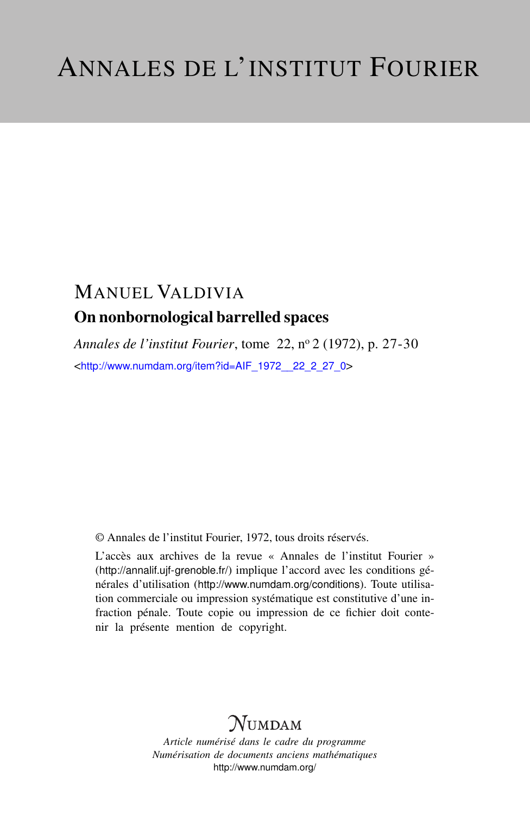# MANUEL VALDIVIA On nonbornological barrelled spaces

*Annales de l'institut Fourier*, tome 22, n<sup>o</sup> 2 (1972), p. 27-30 <[http://www.numdam.org/item?id=AIF\\_1972\\_\\_22\\_2\\_27\\_0](http://www.numdam.org/item?id=AIF_1972__22_2_27_0)>

© Annales de l'institut Fourier, 1972, tous droits réservés.

L'accès aux archives de la revue « Annales de l'institut Fourier » (<http://annalif.ujf-grenoble.fr/>) implique l'accord avec les conditions générales d'utilisation (<http://www.numdam.org/conditions>). Toute utilisation commerciale ou impression systématique est constitutive d'une infraction pénale. Toute copie ou impression de ce fichier doit contenir la présente mention de copyright.

# NUMDAM

*Article numérisé dans le cadre du programme Numérisation de documents anciens mathématiques* <http://www.numdam.org/>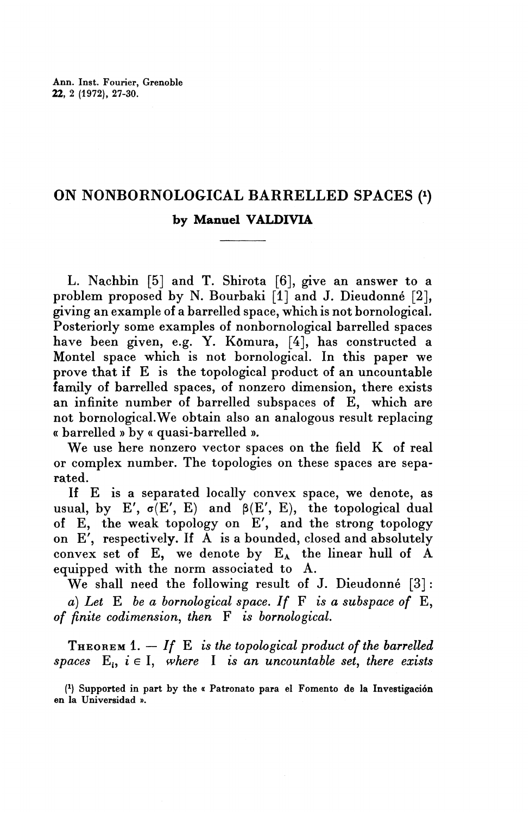## ON NONBORNOLOGICAL BARRELLED SPACES (1) by Manuel VALDIVIA

L. Nachbin [5] and T. Shirota [6], give an answer to a problem proposed by N. Bourbaki [1] and J. Dieudonne [2], giving an example of a barrelled space, which is not bornological. Posteriorly some examples of nonbornological barrelled spaces have been given, e.g. Y. Komura, [4], has constructed a Montel space which is not bornological. In this paper we prove that if E is the topological product of an uncountable family of barrelled spaces, of nonzero dimension, there exists an infinite number of barrelled subspaces of E, which are not bornological.We obtain also an analogous result replacing « barrelled » by « quasi-barrelled ».

**We** use here nonzero vector spaces on the field K of real or complex number. The topologies on these spaces are separated.

If E is a separated locally convex space, we denote, as usual, by E',  $\sigma(E', E)$  and  $\beta(E', E)$ , the topological dual of E, the weak topology on E', and the strong topology on  $E'$ , respectively. If  $\tilde{A}$  is a bounded, closed and absolutely convex set of  $E$ , we denote by  $E_A$  the linear hull of A equipped with the norm associated to A.

**We** shall need the following result of J. Dieudonne [3] : a) *Let* E *be a bornological space. If* F *is a subspace of* E, *of finite codimension, then* F *is bornological.*

THEOREM 1. — *If* E *is the topological product of the barrelled spaces*  $E_i$ ,  $i \in I$ , where I is an uncountable set, there exists

( l ) Supported in part by the « Patronato papa el Fomento de la Investigacion en la Universidad ».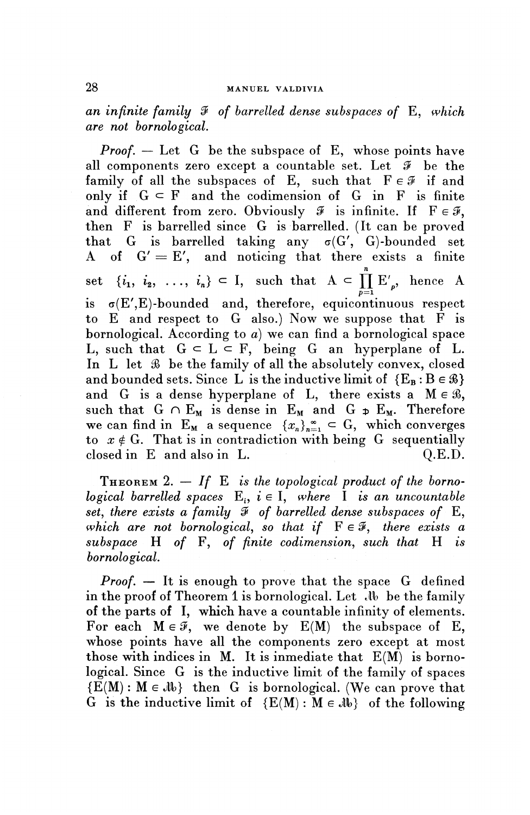*an infinite family 9 of barrelled dense subspaces of* E, *which are not bornological.*

*Proof.* – Let G be the subspace of E, whose points have all components zero except a countable set. Let *S* be the family of all the subspaces of E, such that  $F \in \mathcal{F}$  if and only if  $G \subseteq F$  and the codimension of G in F is finite and different from zero. Obviously  $\mathcal{F}$  is infinite. If  $F \in \mathcal{F}$ , then F is barrelled since G is barrelled. (It can be proved that G is barrelled taking any  $\sigma(G', G)$ -bounded set A of G' *=* E', and noticing that there exists a finite *n* set  $\{i_1, i_2, \ldots, i_n\} \subset I$ , such that  $A \subset \prod_{p=1}^n E'_{p}$ , hence A  $\begin{array}{lll} \texttt{is} & \sigma(\texttt{E}',\texttt{E})\texttt{-bounded} & \texttt{and}, \texttt{ therefore, equicontinuous respect} \end{array}$ to E and respect to G also.) Now we suppose that F is bornological. According to *a)* we can find a bornological space L, such that  $G \subset L \subset F$ , being G an hyperplane of L. In L let *S)* be the family of all the absolutely convex, closed and bounded sets. Since L is the inductive limit of  ${E_B : B \in \mathcal{B}}$ and G is a dense hyperplane of L, there exists a  $M \in \mathcal{B}$ , such that  $G \cap E_M$  is dense in  $E_M$  and  $G \neq E_M$ . Therefore we can find in  $E_M$  a sequence  $\{x_n\}_{n=1}^{\infty} \subset G$ , which converges to  $x \notin G$ . That is in contradiction with being G sequentially  $\alpha$  closed in E and also in L.  $\alpha$  Q.E.D.

THEOREM 2. — *If* E *is the topological product of the bornological barrelled spaces*  $E_i$ ,  $i \in I$ , where *I* is an uncountable *set, there exists a family 9 of barrelled dense subspaces of* E, *which are not bornological, so that if*  $F \in \mathcal{F}$ *, there exists a subspace* H *of* F, *of finite codimension, such that* H *is bornological.*

*Proof. —* It is enough to prove that the space G defined in the proof of Theorem 1 is bornological. Let  $\mathcal{A}$  be the family of the parts of I, which have a countable infinity of elements. For each  $M \in \mathcal{F}$ , we denote by  $E(M)$  the subspace of E, whose points have all the components zero except at most those with indices in M. It is inmediate that  $E(M)$  is bornological. Since G is the inductive limit of the family of spaces  ${E(M) : M \in \mathcal{N}}$  then G is bornological. (We can prove that G is the inductive limit of  ${E(M) : M \in \mathcal{M}}$  of the following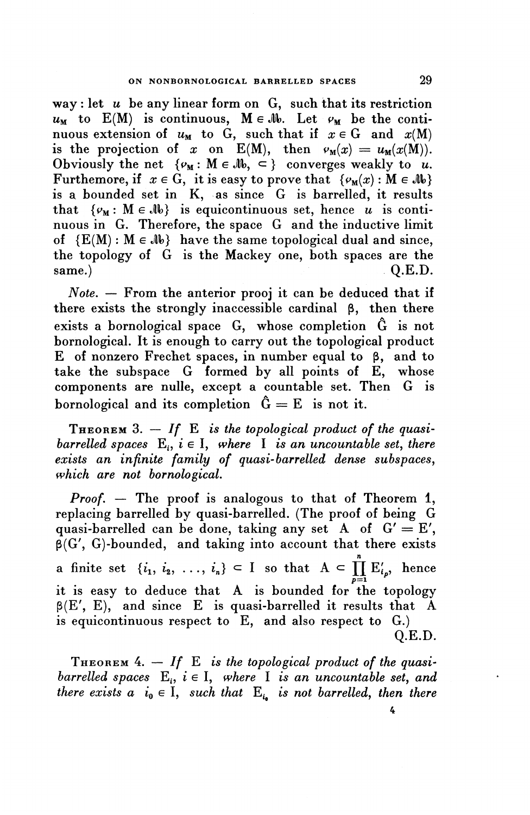way : let *u* be any linear form on G, such that its restriction  $u_M$  to  $E(M)$  is continuous,  $M \in \mathcal{M}$ . Let  $\varphi_M$  be the continuous extension of  $u_M$  to G, such that if  $x \in G$  and  $x(M)$ is the projection of x on E(M), then  $v_M(x) = u_M(x(M)).$ is the projection of x on E(M), then  $v_M(x) = u_M(x)$ , <br>Obviously the net  $\{v_M : M \in M$ ,  $\subseteq \}$  converges weakly to u. Furthemore, if  $x \in G$ , it is easy to prove that  $\{\varphi_{M}(x) : M \in \mathcal{M}\}\$ is a bounded set in K, as since G is barrelled, it results is a bounded set in  $K$ , as since G is barrelled, it results<br>that  $\{\varphi_M : M \in \mathbb{N}\}\$  is equicontinuous set, hence u is continuous in G. Therefore, the space G and the inductive limit of  ${E(M): M \in \mathcal{M}}$  have the same topological dual and since, the topology of G is the Mackey one, both spaces are the same.)  $Q.E.D.$ 

*Note.* — From the anterior prooj it can be deduced that it there exists the strongly inaccessible cardinal  $\beta$ , then there exists a bornological space G, whose completion G is not bornological. It is enough to carry out the topological product E of nonzero Frechet spaces, in number equal to  $\beta$ , and to take the subspace G formed by all points of E, whose components are nulle, except a countable set. Then G is bornological and its completion  $\hat{G} = E$  is not it.

THEOREM 3. — *If* E *is the topological product of the quasibarrelled spaces*  $E_i$ ,  $i \in I$ , where *I is an uncountable set, there exists an infinite family of quasi-barrelled dense subspaces, which are not bornological.*

*Proof.* — The proof is analogous to that of Theorem 1, replacing barrelled by quasi-barrelled. (The proof of being G quasi-barrelled can be done, taking any set A of  $G' = E'$ ,  $\beta(G', G)$ -bounded, and taking into account that there exists a finite set  $\{i_1, i_2, ..., i_n\} \subset I$  so that  $A \subset \prod_{i=1}^n E'_{i_i}$ , hence  $\tilde{p=1}$ it is easy to deduce that A is bounded for the topology  $\beta(E', E)$ , and since E is quasi-barrelled it results that A is equicontinuous respect to E, and also respect to G.) Q.E.D.

THEOREM 4. - If E is the topological product of the quasi*barrelled spaces*  $E_i$ ,  $i \in I$ , where I is an uncountable set, and *there exists a*  $i_0 \in I$ *, such that*  $E_i$  *is not barrelled, then there* 4